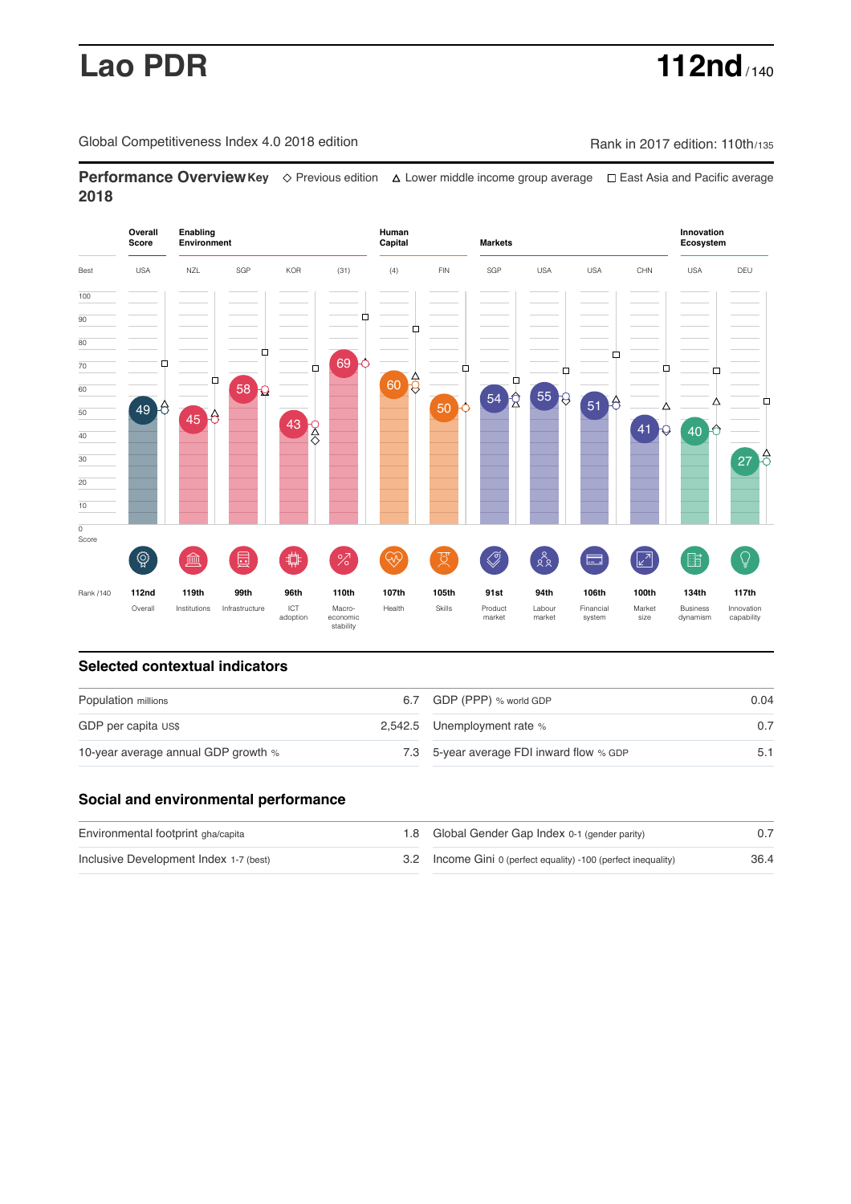# **Lao PDR 112nd** / 140

Global Competitiveness Index 4.0 2018 edition Rank in 2017 edition: 110th/135

**Performance OverviewKey** Previous edition Lower middle income group average East Asia and Pacific average **2018**



# **Selected contextual indicators**

| Population millions                 |  | 6.7 GDP (PPP) % world GDP                | 0.04 |  |
|-------------------------------------|--|------------------------------------------|------|--|
| GDP per capita US\$                 |  | 2,542.5 Unemployment rate %              |      |  |
| 10-year average annual GDP growth % |  | 7.3 5-year average FDI inward flow % GDP | 5.1  |  |

# **Social and environmental performance**

| Environmental footprint gha/capita     | 1.8 Global Gender Gap Index 0-1 (gender parity)                |      |
|----------------------------------------|----------------------------------------------------------------|------|
| Inclusive Development Index 1-7 (best) | 3.2 Income Gini 0 (perfect equality) -100 (perfect inequality) | 36.4 |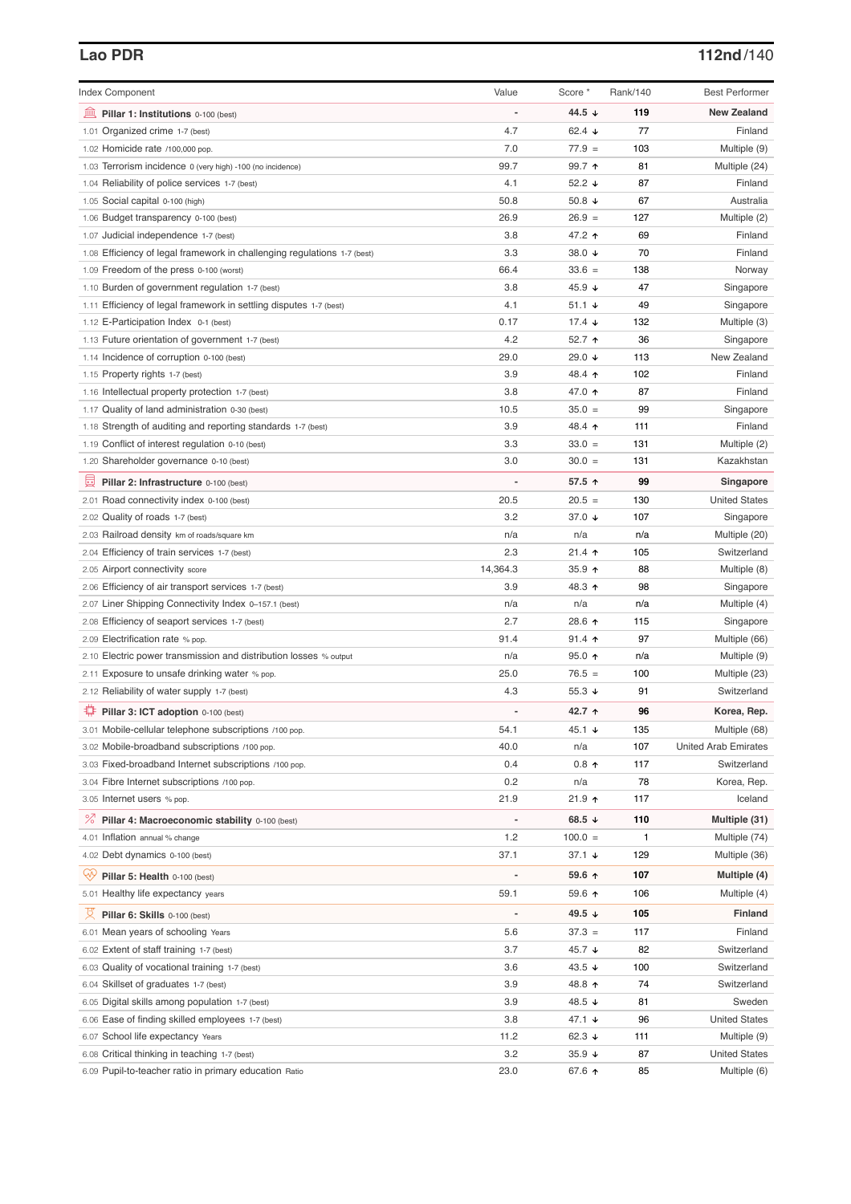## **Lao PDR 112nd**/140

| <b>Index Component</b>                                                   | Value    | Score *         | Rank/140 | <b>Best Performer</b>       |
|--------------------------------------------------------------------------|----------|-----------------|----------|-----------------------------|
| 寙<br>Pillar 1: Institutions 0-100 (best)                                 |          | 44.5 ↓          | 119      | <b>New Zealand</b>          |
| 1.01 Organized crime 1-7 (best)                                          | 4.7      | 62.4 $\sqrt{ }$ | 77       | Finland                     |
| 1.02 Homicide rate /100,000 pop.                                         | 7.0      | $77.9 =$        | 103      | Multiple (9)                |
| 1.03 Terrorism incidence 0 (very high) -100 (no incidence)               | 99.7     | 99.7 ↑          | 81       | Multiple (24)               |
| 1.04 Reliability of police services 1-7 (best)                           | 4.1      | 52.2 $\sqrt{ }$ | 87       | Finland                     |
| 1.05 Social capital 0-100 (high)                                         | 50.8     | 50.8 $\sqrt{ }$ | 67       | Australia                   |
| 1.06 Budget transparency 0-100 (best)                                    | 26.9     | $26.9 =$        | 127      | Multiple (2)                |
| 1.07 Judicial independence 1-7 (best)                                    | 3.8      | 47.2 ↑          | 69       | Finland                     |
| 1.08 Efficiency of legal framework in challenging regulations 1-7 (best) | 3.3      | 38.0 ↓          | 70       | Finland                     |
| 1.09 Freedom of the press 0-100 (worst)                                  | 66.4     | $33.6 =$        | 138      | Norway                      |
| 1.10 Burden of government regulation 1-7 (best)                          | 3.8      | 45.9 $\sqrt{ }$ | 47       | Singapore                   |
| 1.11 Efficiency of legal framework in settling disputes 1-7 (best)       | 4.1      | 51.1 $\sqrt{ }$ | 49       | Singapore                   |
| 1.12 E-Participation Index 0-1 (best)                                    | 0.17     | 17.4 $\sqrt{ }$ | 132      | Multiple (3)                |
| 1.13 Future orientation of government 1-7 (best)                         | 4.2      | 52.7 ↑          | 36       | Singapore                   |
| 1.14 Incidence of corruption 0-100 (best)                                | 29.0     | 29.0 ↓          | 113      | New Zealand                 |
| 1.15 Property rights 1-7 (best)                                          | 3.9      | 48.4 ↑          | 102      | Finland                     |
| 1.16 Intellectual property protection 1-7 (best)                         | 3.8      | 47.0 ↑          | 87       | Finland                     |
| 1.17 Quality of land administration 0-30 (best)                          | 10.5     | $35.0 =$        | 99       | Singapore                   |
| 1.18 Strength of auditing and reporting standards 1-7 (best)             | 3.9      | 48.4 ↑          | 111      | Finland                     |
| 1.19 Conflict of interest regulation 0-10 (best)                         | 3.3      | $33.0 =$        | 131      | Multiple (2)                |
| 1.20 Shareholder governance 0-10 (best)                                  | 3.0      | $30.0 =$        | 131      | Kazakhstan                  |
| 員<br>Pillar 2: Infrastructure 0-100 (best)                               |          | 57.5 ↑          | 99       | Singapore                   |
| 2.01 Road connectivity index 0-100 (best)                                | 20.5     | $20.5 =$        | 130      | <b>United States</b>        |
| 2.02 Quality of roads 1-7 (best)                                         | 3.2      | 37.0 ↓          | 107      | Singapore                   |
| 2.03 Railroad density km of roads/square km                              | n/a      | n/a             | n/a      | Multiple (20)               |
| 2.04 Efficiency of train services 1-7 (best)                             | 2.3      | $21.4$ ↑        | 105      | Switzerland                 |
| 2.05 Airport connectivity score                                          | 14,364.3 | $35.9$ 1        | 88       | Multiple (8)                |
| 2.06 Efficiency of air transport services 1-7 (best)                     | 3.9      | 48.3 ↑          | 98       | Singapore                   |
| 2.07 Liner Shipping Connectivity Index 0-157.1 (best)                    | n/a      | n/a             | n/a      | Multiple (4)                |
| 2.08 Efficiency of seaport services 1-7 (best)                           | 2.7      | 28.6 个          | 115      | Singapore                   |
| 2.09 Electrification rate % pop.                                         | 91.4     | $91.4$ ↑        | 97       | Multiple (66)               |
| 2.10 Electric power transmission and distribution losses % output        | n/a      | $95.0$ ↑        | n/a      | Multiple (9)                |
| 2.11 Exposure to unsafe drinking water % pop.                            | 25.0     | $76.5 =$        | 100      | Multiple (23)               |
| 2.12 Reliability of water supply 1-7 (best)                              | 4.3      | 55.3 $\sqrt{ }$ | 91       | Switzerland                 |
| ₽<br>Pillar 3: ICT adoption 0-100 (best)                                 |          | 42.7 ↑          | 96       | Korea, Rep.                 |
| 3.01 Mobile-cellular telephone subscriptions /100 pop.                   | 54.1     | 45.1 ↓          | 135      | Multiple (68)               |
| 3.02 Mobile-broadband subscriptions /100 pop.                            | 40.0     | n/a             | 107      | <b>United Arab Emirates</b> |
| 3.03 Fixed-broadband Internet subscriptions /100 pop.                    | 0.4      | $0.8$ 1         | 117      | Switzerland                 |
| 3.04 Fibre Internet subscriptions /100 pop.                              | 0.2      | n/a             | 78       | Korea, Rep.                 |
| 3.05 Internet users % pop.                                               | 21.9     | $21.9$ ↑        | 117      | Iceland                     |
|                                                                          |          | 68.5 ↓          | 110      |                             |
| <sup>%</sup> Pillar 4: Macroeconomic stability 0-100 (best)              |          |                 |          | Multiple (31)               |
| 4.01 Inflation annual % change                                           | 1.2      | $100.0 =$       | 1        | Multiple (74)               |
| 4.02 Debt dynamics 0-100 (best)                                          | 37.1     | $37.1 +$        | 129      | Multiple (36)               |
| Ğ,<br>Pillar 5: Health 0-100 (best)                                      |          | 59.6 ↑          | 107      | Multiple (4)                |
| 5.01 Healthy life expectancy years                                       | 59.1     | 59.6 个          | 106      | Multiple (4)                |
| 성<br>Pillar 6: Skills 0-100 (best)                                       |          | 49.5 ↓          | 105      | <b>Finland</b>              |
| 6.01 Mean years of schooling Years                                       | 5.6      | $37.3 =$        | 117      | Finland                     |
| 6.02 Extent of staff training 1-7 (best)                                 | 3.7      | 45.7 ↓          | 82       | Switzerland                 |
| 6.03 Quality of vocational training 1-7 (best)                           | 3.6      | 43.5 $\sqrt{ }$ | 100      | Switzerland                 |
| 6.04 Skillset of graduates 1-7 (best)                                    | 3.9      | 48.8 ↑          | 74       | Switzerland                 |
| 6.05 Digital skills among population 1-7 (best)                          | 3.9      | 48.5 ↓          | 81       | Sweden                      |
| 6.06 Ease of finding skilled employees 1-7 (best)                        | 3.8      | 47.1 ↓          | 96       | <b>United States</b>        |
| 6.07 School life expectancy Years                                        | 11.2     | 62.3 $\sqrt{ }$ | 111      | Multiple (9)                |
| 6.08 Critical thinking in teaching 1-7 (best)                            | 3.2      | $35.9 +$        | 87       | <b>United States</b>        |
| 6.09 Pupil-to-teacher ratio in primary education Ratio                   | 23.0     | 67.6 ↑          | 85       | Multiple (6)                |